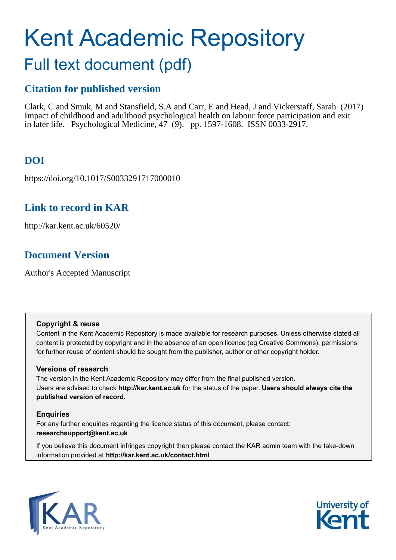# Kent Academic Repository

## Full text document (pdf)

## **Citation for published version**

Clark, C and Smuk, M and Stansfield, S.A and Carr, E and Head, J and Vickerstaff, Sarah (2017) Impact of childhood and adulthood psychological health on labour force participation and exit in later life. Psychological Medicine, 47 (9). pp. 1597-1608. ISSN 0033-2917.

## **DOI**

https://doi.org/10.1017/S0033291717000010

## **Link to record in KAR**

http://kar.kent.ac.uk/60520/

## **Document Version**

Author's Accepted Manuscript

#### **Copyright & reuse**

Content in the Kent Academic Repository is made available for research purposes. Unless otherwise stated all content is protected by copyright and in the absence of an open licence (eg Creative Commons), permissions for further reuse of content should be sought from the publisher, author or other copyright holder.

#### **Versions of research**

The version in the Kent Academic Repository may differ from the final published version. Users are advised to check **http://kar.kent.ac.uk** for the status of the paper. **Users should always cite the published version of record.**

#### **Enquiries**

For any further enquiries regarding the licence status of this document, please contact: **researchsupport@kent.ac.uk**

If you believe this document infringes copyright then please contact the KAR admin team with the take-down information provided at **http://kar.kent.ac.uk/contact.html**



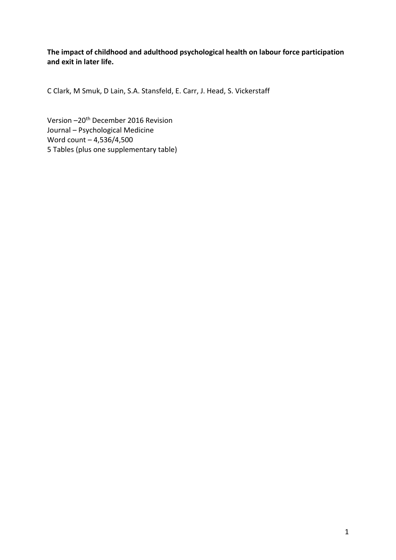**The impact of childhood and adulthood psychological health on labour force participation and exit in later life.** 

C Clark, M Smuk, D Lain, S.A. Stansfeld, E. Carr, J. Head, S. Vickerstaff

Version - 20<sup>th</sup> December 2016 Revision Journal - Psychological Medicine Word count - 4,536/4,500 5 Tables (plus one supplementary table)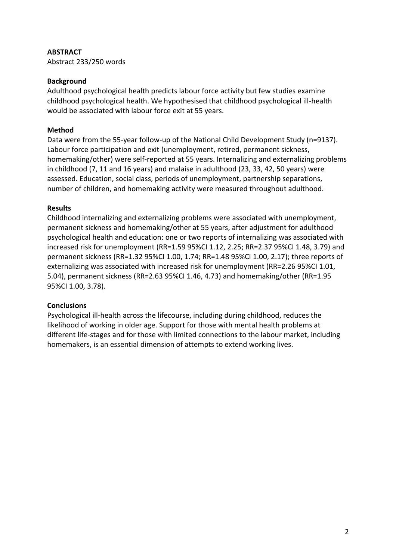#### **ABSTRACT**

Abstract 233/250 words

#### **Background**

Adulthood psychological health predicts labour force activity but few studies examine childhood psychological health. We hypothesised that childhood psychological ill-health would be associated with labour force exit at 55 years.

#### **Method**

Data were from the 55-year follow-up of the National Child Development Study (n=9137). Labour force participation and exit (unemployment, retired, permanent sickness, homemaking/other) were self-reported at 55 years. Internalizing and externalizing problems in childhood (7, 11 and 16 years) and malaise in adulthood (23, 33, 42, 50 years) were assessed. Education, social class, periods of unemployment, partnership separations, number of children, and homemaking activity were measured throughout adulthood.

#### **Results**

Childhood internalizing and externalizing problems were associated with unemployment, permanent sickness and homemaking/other at 55 years, after adjustment for adulthood psychological health and education: one or two reports of internalizing was associated with increased risk for unemployment (RR=1.59 95%CI 1.12, 2.25; RR=2.37 95%CI 1.48, 3.79) and permanent sickness (RR=1.32 95%CI 1.00, 1.74; RR=1.48 95%CI 1.00, 2.17); three reports of externalizing was associated with increased risk for unemployment (RR=2.26 95%CI 1.01, 5.04), permanent sickness (RR=2.63 95%CI 1.46, 4.73) and homemaking/other (RR=1.95 95%CI 1.00, 3.78).

#### **Conclusions**

Psychological ill-health across the lifecourse, including during childhood, reduces the likelihood of working in older age. Support for those with mental health problems at different life-stages and for those with limited connections to the labour market, including homemakers, is an essential dimension of attempts to extend working lives.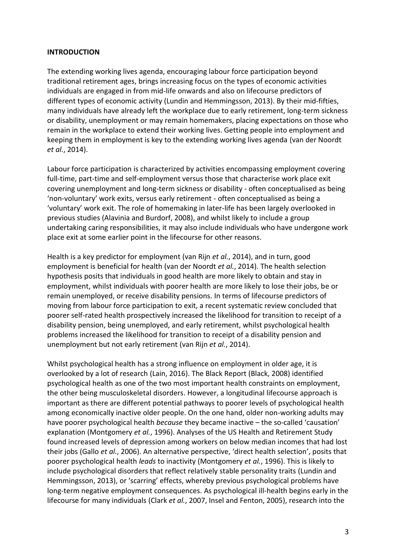#### **INTRODUCTION**

The extending working lives agenda, encouraging labour force participation beyond traditional retirement ages, brings increasing focus on the types of economic activities individuals are engaged in from mid-life onwards and also on lifecourse predictors of different types of economic activity (Lundin and Hemmingsson, 2013). By their mid-fifties, many individuals have already left the workplace due to early retirement, long-term sickness or disability, unemployment or may remain homemakers, placing expectations on those who remain in the workplace to extend their working lives. Getting people into employment and keeping them in employment is key to the extending working lives agenda (van der Noordt *et al.*, 2014).

Labour force participation is characterized by activities encompassing employment covering full-time, part-time and self-employment versus those that characterise work place exit covering unemployment and long-term sickness or disability - often conceptualised as being 'non-voluntary' work exits, versus early retirement - often conceptualised as being a 'voluntary' work exit. The role of homemaking in later-life has been largely overlooked in previous studies (Alavinia and Burdorf, 2008), and whilst likely to include a group undertaking caring responsibilities, it may also include individuals who have undergone work place exit at some earlier point in the lifecourse for other reasons.

Health is a key predictor for employment (van Rijn *et al.*, 2014), and in turn, good employment is beneficial for health (van der Noordt *et al.*, 2014). The health selection hypothesis posits that individuals in good health are more likely to obtain and stay in employment, whilst individuals with poorer health are more likely to lose their jobs, be or remain unemployed, or receive disability pensions. In terms of lifecourse predictors of moving from labour force participation to exit, a recent systematic review concluded that poorer self-rated health prospectively increased the likelihood for transition to receipt of a disability pension, being unemployed, and early retirement, whilst psychological health problems increased the likelihood for transition to receipt of a disability pension and unemployment but not early retirement (van Rijn *et al.*, 2014).

Whilst psychological health has a strong influence on employment in older age, it is overlooked by a lot of research (Lain, 2016). The Black Report (Black, 2008) identified psychological health as one of the two most important health constraints on employment, the other being musculoskeletal disorders. However, a longitudinal lifecourse approach is important as there are different potential pathways to poorer levels of psychological health among economically inactive older people. On the one hand, older non-working adults may have poorer psychological health *because* they became inactive - the so-called 'causation' explanation (Montgomery *et al.*, 1996). Analyses of the US Health and Retirement Study found increased levels of depression among workers on below median incomes that had lost their jobs (Gallo et al., 2006). An alternative perspective, 'direct health selection', posits that poorer psychological health *leads* to inactivity (Montgomery *et al.*, 1996). This is likely to include psychological disorders that reflect relatively stable personality traits (Lundin and Hemmingsson, 2013), or 'scarring' effects, whereby previous psychological problems have long-term negative employment consequences. As psychological ill-health begins early in the lifecourse for many individuals (Clark *et al.*, 2007, Insel and Fenton, 2005), research into the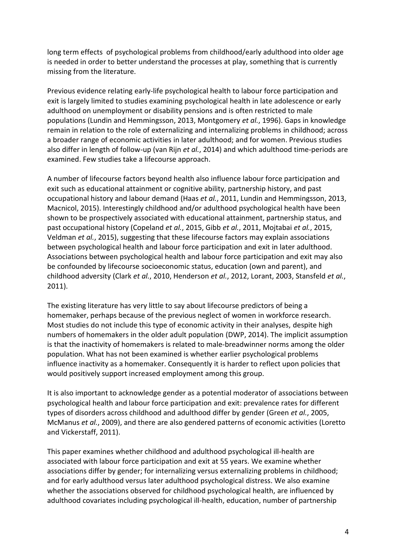long term effects of psychological problems from childhood/early adulthood into older age is needed in order to better understand the processes at play, something that is currently missing from the literature.

Previous evidence relating early-life psychological health to labour force participation and exit is largely limited to studies examining psychological health in late adolescence or early adulthood on unemployment or disability pensions and is often restricted to male populations (Lundin and Hemmingsson, 2013, Montgomery *et al.*, 1996). Gaps in knowledge remain in relation to the role of externalizing and internalizing problems in childhood; across a broader range of economic activities in later adulthood; and for women. Previous studies also differ in length of follow-up (van Rijn *et al.*, 2014) and which adulthood time-periods are examined. Few studies take a lifecourse approach.

A number of lifecourse factors beyond health also influence labour force participation and exit such as educational attainment or cognitive ability, partnership history, and past occupational history and labour demand (Haas *et al.*, 2011, Lundin and Hemmingsson, 2013, Macnicol, 2015). Interestingly childhood and/or adulthood psychological health have been shown to be prospectively associated with educational attainment, partnership status, and past occupational history (Copeland *et al.*, 2015, Gibb *et al.*, 2011, Mojtabai *et al.*, 2015, Veldman *et al.*, 2015), suggesting that these lifecourse factors may explain associations between psychological health and labour force participation and exit in later adulthood. Associations between psychological health and labour force participation and exit may also be confounded by lifecourse socioeconomic status, education (own and parent), and childhood adversity (Clark *et al.*, 2010, Henderson *et al.*, 2012, Lorant, 2003, Stansfeld *et al.*, 2011).

The existing literature has very little to say about lifecourse predictors of being a homemaker, perhaps because of the previous neglect of women in workforce research. Most studies do not include this type of economic activity in their analyses, despite high numbers of homemakers in the older adult population (DWP, 2014). The implicit assumption is that the inactivity of homemakers is related to male-breadwinner norms among the older population. What has not been examined is whether earlier psychological problems influence inactivity as a homemaker. Consequently it is harder to reflect upon policies that would positively support increased employment among this group.

It is also important to acknowledge gender as a potential moderator of associations between psychological health and labour force participation and exit: prevalence rates for different types of disorders across childhood and adulthood differ by gender (Green *et al.*, 2005, McManus *et al.*, 2009), and there are also gendered patterns of economic activities (Loretto and Vickerstaff, 2011).

This paper examines whether childhood and adulthood psychological ill-health are associated with labour force participation and exit at 55 years. We examine whether associations differ by gender; for internalizing versus externalizing problems in childhood; and for early adulthood versus later adulthood psychological distress. We also examine whether the associations observed for childhood psychological health, are influenced by adulthood covariates including psychological ill-health, education, number of partnership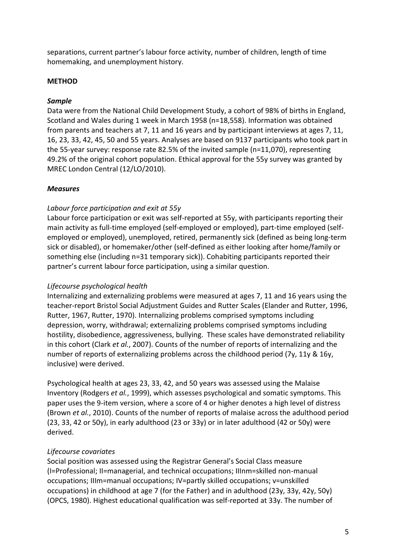separations, current partner's labour force activity, number of children, length of time homemaking, and unemployment history.

#### **METHOD**

#### *Sample*

Data were from the National Child Development Study, a cohort of 98% of births in England, Scotland and Wales during 1 week in March 1958 (n=18,558). Information was obtained from parents and teachers at 7, 11 and 16 years and by participant interviews at ages 7, 11, 16, 23, 33, 42, 45, 50 and 55 years. Analyses are based on 9137 participants who took part in the 55-year survey: response rate 82.5% of the invited sample (n=11,070), representing 49.2% of the original cohort population. Ethical approval for the 55y survey was granted by MREC London Central (12/LO/2010).

#### *Measures*

#### *Labour force participation and exit at 55y*

Labour force participation or exit was self-reported at 55y, with participants reporting their main activity as full-time employed (self-employed or employed), part-time employed (selfemployed or employed), unemployed, retired, permanently sick (defined as being long-term sick or disabled), or homemaker/other (self-defined as either looking after home/family or something else (including n=31 temporary sick)). Cohabiting participants reported their partner's current labour force participation, using a similar question.

#### *Lifecourse psychological health*

Internalizing and externalizing problems were measured at ages 7, 11 and 16 years using the teacher-report Bristol Social Adjustment Guides and Rutter Scales (Elander and Rutter, 1996, Rutter, 1967, Rutter, 1970). Internalizing problems comprised symptoms including depression, worry, withdrawal; externalizing problems comprised symptoms including hostility, disobedience, aggressiveness, bullying. These scales have demonstrated reliability in this cohort (Clark *et al.*, 2007). Counts of the number of reports of internalizing and the number of reports of externalizing problems across the childhood period (7y, 11y & 16y, inclusive) were derived.

Psychological health at ages 23, 33, 42, and 50 years was assessed using the Malaise Inventory (Rodgers *et al.*, 1999), which assesses psychological and somatic symptoms. This paper uses the 9-item version, where a score of 4 or higher denotes a high level of distress (Brown *et al.*, 2010). Counts of the number of reports of malaise across the adulthood period (23, 33, 42 or 50y), in early adulthood (23 or 33y) or in later adulthood (42 or 50y) were derived.

#### *Lifecourse covariates*

Social position was assessed using the Registrar General's Social Class measure (I=Professional; II=managerial, and technical occupations; IIInm=skilled non-manual occupations; IIIm=manual occupations; IV=partly skilled occupations; v=unskilled occupations) in childhood at age 7 (for the Father) and in adulthood (23y, 33y, 42y, 50y) (OPCS, 1980). Highest educational qualification was self-reported at 33y. The number of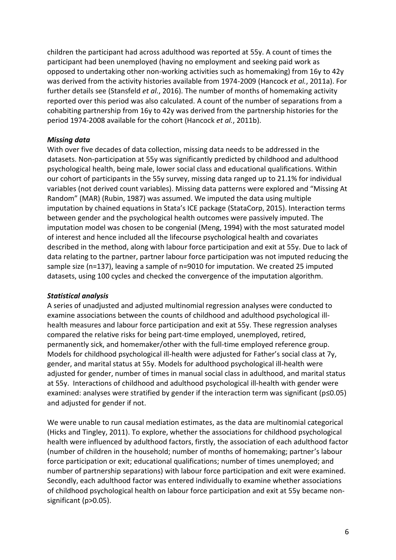children the participant had across adulthood was reported at 55y. A count of times the participant had been unemployed (having no employment and seeking paid work as opposed to undertaking other non-working activities such as homemaking) from 16y to 42y was derived from the activity histories available from 1974-2009 (Hancock *et al.*, 2011a). For further details see (Stansfeld *et al.*, 2016). The number of months of homemaking activity reported over this period was also calculated. A count of the number of separations from a cohabiting partnership from 16y to 42y was derived from the partnership histories for the period 1974-2008 available for the cohort (Hancock *et al.*, 2011b).

#### *Missing data*

With over five decades of data collection, missing data needs to be addressed in the datasets. Non-participation at 55y was significantly predicted by childhood and adulthood psychological health, being male, lower social class and educational qualifications. Within our cohort of participants in the 55y survey, missing data ranged up to 21.1% for individual variables (not derived count variables). Missing data patterns were explored and "Missing At Random" (MAR) (Rubin, 1987) was assumed. We imputed the data using multiple imputation by chained equations in Stata's ICE package (StataCorp, 2015). Interaction terms between gender and the psychological health outcomes were passively imputed. The imputation model was chosen to be congenial (Meng, 1994) with the most saturated model of interest and hence included all the lifecourse psychological health and covariates described in the method, along with labour force participation and exit at 55y. Due to lack of data relating to the partner, partner labour force participation was not imputed reducing the sample size (n=137), leaving a sample of n=9010 for imputation. We created 25 imputed datasets, using 100 cycles and checked the convergence of the imputation algorithm.

#### *Statistical analysis*

A series of unadjusted and adjusted multinomial regression analyses were conducted to examine associations between the counts of childhood and adulthood psychological illhealth measures and labour force participation and exit at 55y. These regression analyses compared the relative risks for being part-time employed, unemployed, retired, permanently sick, and homemaker/other with the full-time employed reference group. Models for childhood psychological ill-health were adjusted for Father's social class at 7y, gender, and marital status at 55y. Models for adulthood psychological ill-health were adjusted for gender, number of times in manual social class in adulthood, and marital status at 55y. Interactions of childhood and adulthood psychological ill-health with gender were examined: analyses were stratified by gender if the interaction term was significant ( $p \le 0.05$ ) and adjusted for gender if not.

We were unable to run causal mediation estimates, as the data are multinomial categorical (Hicks and Tingley, 2011). To explore, whether the associations for childhood psychological health were influenced by adulthood factors, firstly, the association of each adulthood factor (number of children in the household; number of months of homemaking; partner's labour force participation or exit; educational qualifications; number of times unemployed; and number of partnership separations) with labour force participation and exit were examined. Secondly, each adulthood factor was entered individually to examine whether associations of childhood psychological health on labour force participation and exit at 55y became nonsignificant (p>0.05).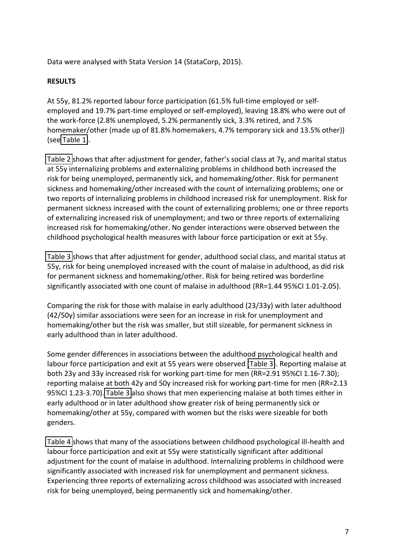Data were analysed with Stata Version 14 (StataCorp, 2015).

#### **RESULTS**

At 55y, 81.2% reported labour force participation (61.5% full-time employed or selfemployed and 19.7% part-time employed or self-employed), leaving 18.8% who were out of the work-force (2.8% unemployed, 5.2% permanently sick, 3.3% retired, and 7.5% homemaker/other (made up of 81.8% homemakers, 4.7% temporary sick and 13.5% other)) (see [Table 1\)](#page-12-0).

[Table 2](#page-15-0) shows that after adjustment for gender, father's social class at 7y, and marital status at 55y internalizing problems and externalizing problems in childhood both increased the risk for being unemployed, permanently sick, and homemaking/other. Risk for permanent sickness and homemaking/other increased with the count of internalizing problems; one or two reports of internalizing problems in childhood increased risk for unemployment. Risk for permanent sickness increased with the count of externalizing problems; one or three reports of externalizing increased risk of unemployment; and two or three reports of externalizing increased risk for homemaking/other. No gender interactions were observed between the childhood psychological health measures with labour force participation or exit at 55y.

[Table 3](#page-16-0) shows that after adjustment for gender, adulthood social class, and marital status at 55y, risk for being unemployed increased with the count of malaise in adulthood, as did risk for permanent sickness and homemaking/other. Risk for being retired was borderline significantly associated with one count of malaise in adulthood (RR=1.44 95%CI 1.01-2.05).

Comparing the risk for those with malaise in early adulthood (23/33y) with later adulthood (42/50y) similar associations were seen for an increase in risk for unemployment and homemaking/other but the risk was smaller, but still sizeable, for permanent sickness in early adulthood than in later adulthood.

Some gender differences in associations between the adulthood psychological health and labour force participation and exit at 55 years were observed [\(Table 3\)](#page-16-0). Reporting malaise at both 23y and 33y increased risk for working part-time for men (RR=2.91 95%CI 1.16-7.30); reporting malaise at both 42y and 50y increased risk for working part-time for men (RR=2.13 95%CI 1.23-3.70). [Table 3](#page-16-0) also shows that men experiencing malaise at both times either in early adulthood or in later adulthood show greater risk of being permanently sick or homemaking/other at 55y, compared with women but the risks were sizeable for both genders.

[Table 4](#page-17-0) shows that many of the associations between childhood psychological ill-health and labour force participation and exit at 55y were statistically significant after additional adjustment for the count of malaise in adulthood. Internalizing problems in childhood were significantly associated with increased risk for unemployment and permanent sickness. Experiencing three reports of externalizing across childhood was associated with increased risk for being unemployed, being permanently sick and homemaking/other.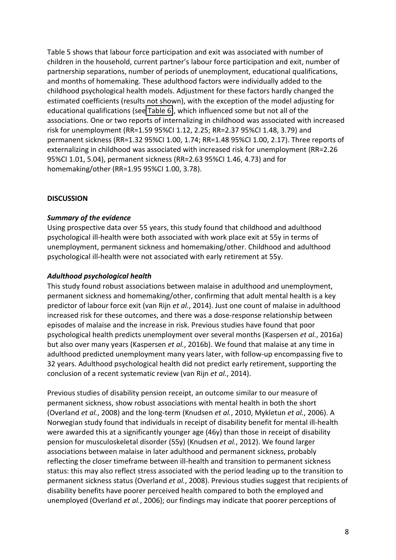Table 5 shows that labour force participation and exit was associated with number of children in the household, current partner's labour force participation and exit, number of partnership separations, number of periods of unemployment, educational qualifications, and months of homemaking. These adulthood factors were individually added to the childhood psychological health models. Adjustment for these factors hardly changed the estimated coefficients (results not shown), with the exception of the model adjusting for educational qualifications (see [Table 6\)](#page-20-0), which influenced some but not all of the associations. One or two reports of internalizing in childhood was associated with increased risk for unemployment (RR=1.59 95%CI 1.12, 2.25; RR=2.37 95%CI 1.48, 3.79) and permanent sickness (RR=1.32 95%CI 1.00, 1.74; RR=1.48 95%CI 1.00, 2.17). Three reports of externalizing in childhood was associated with increased risk for unemployment (RR=2.26 95%CI 1.01, 5.04), permanent sickness (RR=2.63 95%CI 1.46, 4.73) and for homemaking/other (RR=1.95 95%CI 1.00, 3.78).

#### **DISCUSSION**

#### *Summary of the evidence*

Using prospective data over 55 years, this study found that childhood and adulthood psychological ill-health were both associated with work place exit at 55y in terms of unemployment, permanent sickness and homemaking/other. Childhood and adulthood psychological ill-health were not associated with early retirement at 55y.

#### *Adulthood psychological health*

This study found robust associations between malaise in adulthood and unemployment, permanent sickness and homemaking/other, confirming that adult mental health is a key predictor of labour force exit (van Rijn *et al.*, 2014). Just one count of malaise in adulthood increased risk for these outcomes, and there was a dose-response relationship between episodes of malaise and the increase in risk. Previous studies have found that poor psychological health predicts unemployment over several months (Kaspersen *et al.*, 2016a) but also over many years (Kaspersen *et al.*, 2016b). We found that malaise at any time in adulthood predicted unemployment many years later, with follow-up encompassing five to 32 years. Adulthood psychological health did not predict early retirement, supporting the conclusion of a recent systematic review (van Rijn *et al.*, 2014).

Previous studies of disability pension receipt, an outcome similar to our measure of permanent sickness, show robust associations with mental health in both the short (Overland *et al.*, 2008) and the long-term (Knudsen *et al.*, 2010, Mykletun *et al.*, 2006). A Norwegian study found that individuals in receipt of disability benefit for mental ill-health were awarded this at a significantly younger age (46y) than those in receipt of disability pension for musculoskeletal disorder (55y) (Knudsen *et al.*, 2012). We found larger associations between malaise in later adulthood and permanent sickness, probably reflecting the closer timeframe between ill-health and transition to permanent sickness status: this may also reflect stress associated with the period leading up to the transition to permanent sickness status (Overland *et al.*, 2008). Previous studies suggest that recipients of disability benefits have poorer perceived health compared to both the employed and unemployed (Overland *et al.*, 2006); our findings may indicate that poorer perceptions of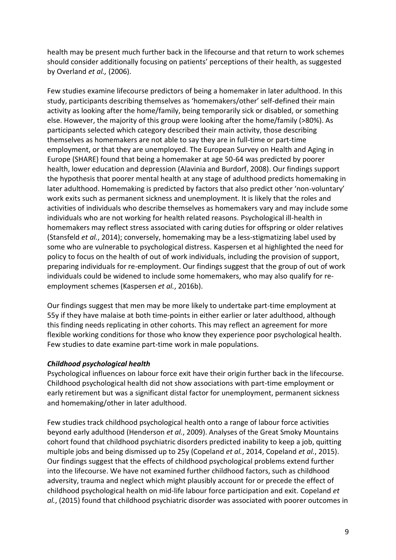health may be present much further back in the lifecourse and that return to work schemes should consider additionally focusing on patients' perceptions of their health, as suggested by Overland *et al.,* (2006).

Few studies examine lifecourse predictors of being a homemaker in later adulthood. In this study, participants describing themselves as 'homemakers/other' self-defined their main activity as looking after the home/family, being temporarily sick or disabled, or something else. However, the majority of this group were looking after the home/family (>80%). As participants selected which category described their main activity, those describing themselves as homemakers are not able to say they are in full-time or part-time employment, or that they are unemployed. The European Survey on Health and Aging in Europe (SHARE) found that being a homemaker at age 50-64 was predicted by poorer health, lower education and depression (Alavinia and Burdorf, 2008). Our findings support the hypothesis that poorer mental health at any stage of adulthood predicts homemaking in later adulthood. Homemaking is predicted by factors that also predict other 'non-voluntary' work exits such as permanent sickness and unemployment. It is likely that the roles and activities of individuals who describe themselves as homemakers vary and may include some individuals who are not working for health related reasons. Psychological ill-health in homemakers may reflect stress associated with caring duties for offspring or older relatives (Stansfeld *et al.*, 2014); conversely, homemaking may be a less-stigmatizing label used by some who are vulnerable to psychological distress. Kaspersen et al highlighted the need for policy to focus on the health of out of work individuals, including the provision of support, preparing individuals for re-employment. Our findings suggest that the group of out of work individuals could be widened to include some homemakers, who may also qualify for reemployment schemes (Kaspersen *et al.*, 2016b).

Our findings suggest that men may be more likely to undertake part-time employment at 55y if they have malaise at both time-points in either earlier or later adulthood, although this finding needs replicating in other cohorts. This may reflect an agreement for more flexible working conditions for those who know they experience poor psychological health. Few studies to date examine part-time work in male populations.

#### *Childhood psychological health*

Psychological influences on labour force exit have their origin further back in the lifecourse. Childhood psychological health did not show associations with part-time employment or early retirement but was a significant distal factor for unemployment, permanent sickness and homemaking/other in later adulthood.

Few studies track childhood psychological health onto a range of labour force activities beyond early adulthood (Henderson *et al.*, 2009). Analyses of the Great Smoky Mountains cohort found that childhood psychiatric disorders predicted inability to keep a job, quitting multiple jobs and being dismissed up to 25y (Copeland *et al.*, 2014, Copeland *et al.*, 2015). Our findings suggest that the effects of childhood psychological problems extend further into the lifecourse. We have not examined further childhood factors, such as childhood adversity, trauma and neglect which might plausibly account for or precede the effect of childhood psychological health on mid-life labour force participation and exit. Copeland *et al.*, (2015) found that childhood psychiatric disorder was associated with poorer outcomes in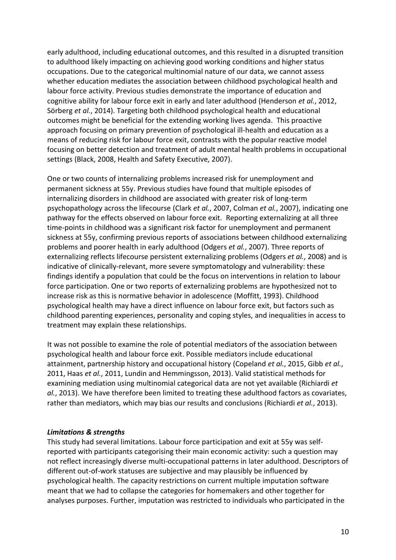early adulthood, including educational outcomes, and this resulted in a disrupted transition to adulthood likely impacting on achieving good working conditions and higher status occupations. Due to the categorical multinomial nature of our data, we cannot assess whether education mediates the association between childhood psychological health and labour force activity. Previous studies demonstrate the importance of education and cognitive ability for labour force exit in early and later adulthood (Henderson *et al.*, 2012, Sörberg et al., 2014). Targeting both childhood psychological health and educational outcomes might be beneficial for the extending working lives agenda. This proactive approach focusing on primary prevention of psychological ill-health and education as a means of reducing risk for labour force exit, contrasts with the popular reactive model focusing on better detection and treatment of adult mental health problems in occupational settings (Black, 2008, Health and Safety Executive, 2007).

One or two counts of internalizing problems increased risk for unemployment and permanent sickness at 55y. Previous studies have found that multiple episodes of internalizing disorders in childhood are associated with greater risk of long-term psychopathology across the lifecourse (Clark *et al.*, 2007, Colman *et al.*, 2007), indicating one pathway for the effects observed on labour force exit. Reporting externalizing at all three time-points in childhood was a significant risk factor for unemployment and permanent sickness at 55y, confirming previous reports of associations between childhood externalizing problems and poorer health in early adulthood (Odgers *et al.*, 2007). Three reports of externalizing reflects lifecourse persistent externalizing problems (Odgers *et al.*, 2008) and is indicative of clinically-relevant, more severe symptomatology and vulnerability: these findings identify a population that could be the focus on interventions in relation to labour force participation. One or two reports of externalizing problems are hypothesized not to increase risk as this is normative behavior in adolescence (Moffitt, 1993). Childhood psychological health may have a direct influence on labour force exit, but factors such as childhood parenting experiences, personality and coping styles, and inequalities in access to treatment may explain these relationships.

It was not possible to examine the role of potential mediators of the association between psychological health and labour force exit. Possible mediators include educational attainment, partnership history and occupational history (Copeland *et al.*, 2015, Gibb *et al.*, 2011, Haas *et al.*, 2011, Lundin and Hemmingsson, 2013). Valid statistical methods for examining mediation using multinomial categorical data are not yet available (Richiardi *et al.*, 2013). We have therefore been limited to treating these adulthood factors as covariates, rather than mediators, which may bias our results and conclusions (Richiardi *et al.*, 2013).

#### *Limitations & strengths*

This study had several limitations. Labour force participation and exit at 55y was selfreported with participants categorising their main economic activity: such a question may not reflect increasingly diverse multi-occupational patterns in later adulthood. Descriptors of different out-of-work statuses are subjective and may plausibly be influenced by psychological health. The capacity restrictions on current multiple imputation software meant that we had to collapse the categories for homemakers and other together for analyses purposes. Further, imputation was restricted to individuals who participated in the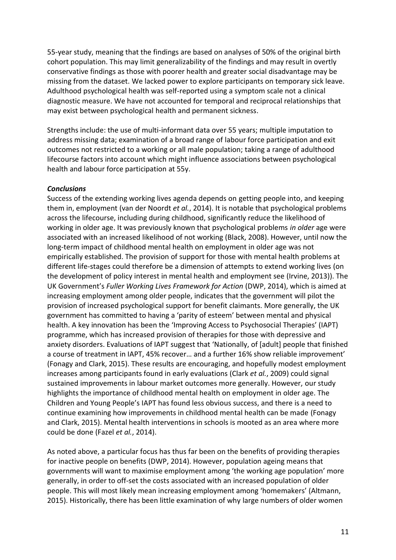55-year study, meaning that the findings are based on analyses of 50% of the original birth cohort population. This may limit generalizability of the findings and may result in overtly conservative findings as those with poorer health and greater social disadvantage may be missing from the dataset. We lacked power to explore participants on temporary sick leave. Adulthood psychological health was self-reported using a symptom scale not a clinical diagnostic measure. We have not accounted for temporal and reciprocal relationships that may exist between psychological health and permanent sickness.

Strengths include: the use of multi-informant data over 55 years; multiple imputation to address missing data; examination of a broad range of labour force participation and exit outcomes not restricted to a working or all male population; taking a range of adulthood lifecourse factors into account which might influence associations between psychological health and labour force participation at 55y.

#### *Conclusions*

Success of the extending working lives agenda depends on getting people into, and keeping them in, employment (van der Noordt *et al.*, 2014). It is notable that psychological problems across the lifecourse, including during childhood, significantly reduce the likelihood of working in older age. It was previously known that psychological problems *in older* age were associated with an increased likelihood of not working (Black, 2008). However, until now the long-term impact of childhood mental health on employment in older age was not empirically established. The provision of support for those with mental health problems at different life-stages could therefore be a dimension of attempts to extend working lives (on the development of policy interest in mental health and employment see (Irvine, 2013)). The UK Government's *Fuller Working Lives Framework for Action* (DWP, 2014), which is aimed at increasing employment among older people, indicates that the government will pilot the provision of increased psychological support for benefit claimants. More generally, the UK government has committed to having a 'parity of esteem' between mental and physical health. A key innovation has been the 'Improving Access to Psychosocial Therapies' (IAPT) programme, which has increased provision of therapies for those with depressive and anxiety disorders. Evaluations of IAPT suggest that 'Nationally, of [adult] people that finished a course of treatment in IAPT, 45% recover... and a further 16% show reliable improvement' (Fonagy and Clark, 2015). These results are encouraging, and hopefully modest employment increases among participants found in early evaluations (Clark *et al.*, 2009) could signal sustained improvements in labour market outcomes more generally. However, our study highlights the importance of childhood mental health on employment in older age. The Children and Young People's IAPT has found less obvious success, and there is a need to continue examining how improvements in childhood mental health can be made (Fonagy and Clark, 2015). Mental health interventions in schools is mooted as an area where more could be done (Fazel *et al.*, 2014).

As noted above, a particular focus has thus far been on the benefits of providing therapies for inactive people on benefits (DWP, 2014). However, population ageing means that governments will want to maximise employment among 'the working age population' more generally, in order to off-set the costs associated with an increased population of older people. This will most likely mean increasing employment among 'homemakers' (Altmann, 2015). Historically, there has been little examination of why large numbers of older women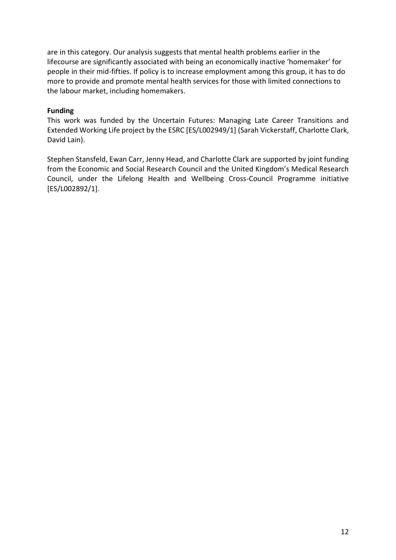<span id="page-12-0"></span>are in this category. Our analysis suggests that mental health problems earlier in the lifecourse are significantly associated with being an economically inactive 'homemaker' for people in their mid-fifties. If policy is to increase employment among this group, it has to do more to provide and promote mental health services for those with limited connections to the labour market, including homemakers.

#### **Funding**

This work was funded by the Uncertain Futures: Managing Late Career Transitions and Extended Working Life project by the ESRC [ES/L002949/1] (Sarah Vickerstaff, Charlotte Clark, David Lain).

Stephen Stansfeld, Ewan Carr, Jenny Head, and Charlotte Clark are supported by joint funding from the Economic and Social Research Council and the United Kingdom's Medical Research Council, under the Lifelong Health and Wellbeing Cross-Council Programme initiative [ES/L002892/1].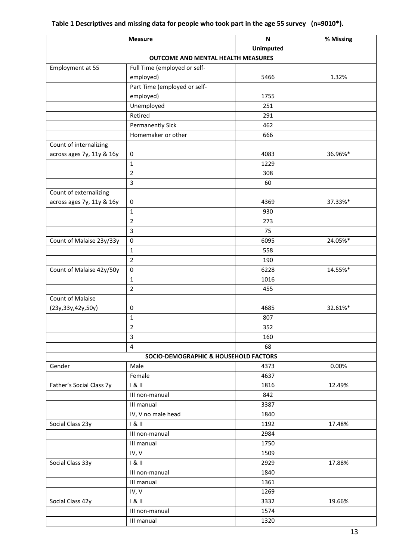|                           | <b>Measure</b>                            | $\mathsf{N}$     | % Missing |
|---------------------------|-------------------------------------------|------------------|-----------|
|                           |                                           | <b>Unimputed</b> |           |
|                           | <b>OUTCOME AND MENTAL HEALTH MEASURES</b> |                  |           |
| Employment at 55          | Full Time (employed or self-              |                  |           |
|                           | employed)                                 | 5466             | 1.32%     |
|                           | Part Time (employed or self-              |                  |           |
|                           | employed)                                 | 1755             |           |
|                           | Unemployed                                | 251              |           |
|                           | Retired                                   | 291              |           |
|                           | <b>Permanently Sick</b>                   | 462              |           |
|                           | Homemaker or other                        | 666              |           |
| Count of internalizing    |                                           |                  |           |
| across ages 7y, 11y & 16y | 0                                         | 4083             | 36.96%*   |
|                           | $\mathbf{1}$                              | 1229             |           |
|                           | $\overline{2}$                            | 308              |           |
|                           | 3                                         | 60               |           |
| Count of externalizing    |                                           |                  |           |
| across ages 7y, 11y & 16y | 0                                         | 4369             | 37.33%*   |
|                           | $\mathbf{1}$                              | 930              |           |
|                           | $\overline{2}$                            | 273              |           |
|                           | 3                                         | 75               |           |
| Count of Malaise 23y/33y  | $\pmb{0}$                                 | 6095             | 24.05%*   |
|                           | $\mathbf{1}$                              | 558              |           |
|                           | $\overline{2}$                            | 190              |           |
| Count of Malaise 42y/50y  | $\pmb{0}$                                 | 6228             | 14.55%*   |
|                           | $\mathbf{1}$                              | 1016             |           |
|                           | $\overline{2}$                            | 455              |           |
| <b>Count of Malaise</b>   |                                           |                  |           |
| (23y, 33y, 42y, 50y)      | 0                                         | 4685             | 32.61%*   |
|                           | $\mathbf{1}$                              | 807              |           |
|                           | $\overline{2}$                            | 352              |           |
|                           | 3                                         | 160              |           |
|                           | 4                                         | 68               |           |
|                           | SOCIO-DEMOGRAPHIC & HOUSEHOLD FACTORS     |                  |           |
| Gender                    | Male                                      | 4373             | 0.00%     |
|                           | Female                                    | 4637             |           |
| Father's Social Class 7y  | 181                                       | 1816             | 12.49%    |
|                           | III non-manual                            | 842              |           |
|                           | III manual                                | 3387             |           |
|                           | IV, V no male head                        | 1840             |           |
| Social Class 23y          | 181                                       | 1192             | 17.48%    |
|                           | III non-manual                            | 2984             |           |
|                           | III manual                                | 1750             |           |
|                           | IV, V                                     | 1509             |           |
| Social Class 33y          | 181                                       | 2929             | 17.88%    |
|                           | III non-manual                            | 1840             |           |
|                           | III manual                                | 1361             |           |
|                           | IV, V                                     | 1269             |           |
| Social Class 42y          | 181                                       | 3332             | 19.66%    |
|                           | III non-manual                            | 1574             |           |
|                           | III manual                                | 1320             |           |
|                           |                                           |                  |           |

### **Table 1 Descriptives and missing data for people who took part in the age 55 survey (n=9010\*).**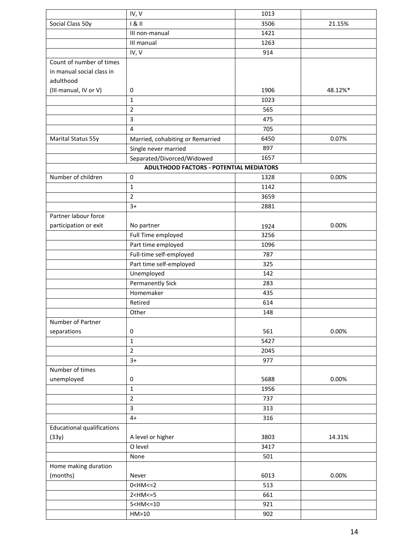|                                   | IV, V                                          | 1013 |         |
|-----------------------------------|------------------------------------------------|------|---------|
| Social Class 50y                  | 181                                            | 3506 | 21.15%  |
|                                   | III non-manual                                 | 1421 |         |
|                                   | III manual                                     | 1263 |         |
|                                   | IV, V                                          | 914  |         |
| Count of number of times          |                                                |      |         |
| in manual social class in         |                                                |      |         |
| adulthood                         |                                                |      |         |
| (III manual, IV or V)             | 0                                              | 1906 | 48.12%* |
|                                   | $\mathbf{1}$                                   | 1023 |         |
|                                   | $\overline{2}$                                 | 565  |         |
|                                   | 3                                              | 475  |         |
|                                   | 4                                              | 705  |         |
| <b>Marital Status 55y</b>         | Married, cohabiting or Remarried               | 6450 | 0.07%   |
|                                   | Single never married                           | 897  |         |
|                                   | Separated/Divorced/Widowed                     | 1657 |         |
|                                   | <b>ADULTHOOD FACTORS - POTENTIAL MEDIATORS</b> |      |         |
| Number of children                | $\mathbf 0$                                    | 1328 | 0.00%   |
|                                   | $\mathbf{1}$                                   | 1142 |         |
|                                   | $\overline{2}$                                 | 3659 |         |
|                                   | $3+$                                           | 2881 |         |
| Partner labour force              |                                                |      |         |
| participation or exit             | No partner                                     | 1924 | 0.00%   |
|                                   | Full Time employed                             | 3256 |         |
|                                   | Part time employed                             | 1096 |         |
|                                   | Full-time self-employed                        | 787  |         |
|                                   | Part time self-employed                        | 325  |         |
|                                   | Unemployed                                     | 142  |         |
|                                   | <b>Permanently Sick</b>                        | 283  |         |
|                                   | Homemaker                                      | 435  |         |
|                                   | Retired                                        | 614  |         |
|                                   | Other                                          | 148  |         |
| Number of Partner                 |                                                |      |         |
| separations                       | 0                                              | 561  | 0.00%   |
|                                   | $\mathbf{1}$                                   | 5427 |         |
|                                   | $\overline{2}$                                 | 2045 |         |
|                                   | $3+$                                           | 977  |         |
| Number of times                   |                                                |      |         |
| unemployed                        | 0                                              | 5688 | 0.00%   |
|                                   | $\mathbf{1}$                                   | 1956 |         |
|                                   | $\overline{2}$                                 | 737  |         |
|                                   | 3                                              | 313  |         |
|                                   | $4+$                                           | 316  |         |
| <b>Educational qualifications</b> |                                                |      |         |
| (33y)                             | A level or higher                              | 3803 | 14.31%  |
|                                   | O level                                        | 3417 |         |
|                                   | None                                           | 501  |         |
|                                   |                                                |      |         |
| Home making duration              |                                                | 6013 | 0.00%   |
| (months)                          | Never<br>$0 < H M < = 2$                       | 513  |         |
|                                   |                                                |      |         |
|                                   | $2$ < HM <= $5$                                | 661  |         |
|                                   | $5$ < HM <= 10                                 | 921  |         |
|                                   | HM>10                                          | 902  |         |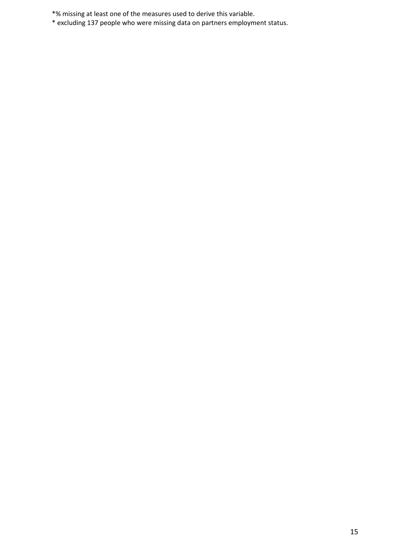\*% missing at least one of the measures used to derive this variable.

<span id="page-15-0"></span>\* excluding 137 people who were missing data on partners employment status.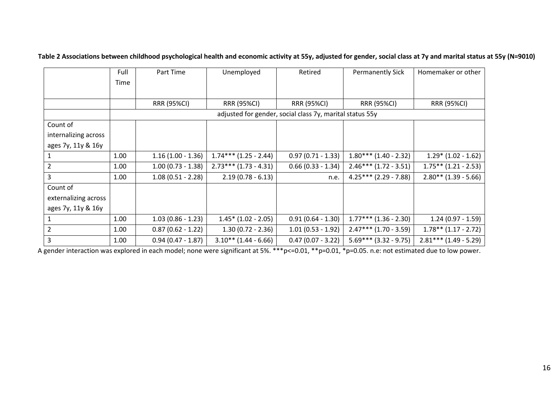|                      | Full | Part Time           | Unemployed              | Retired                                                  | <b>Permanently Sick</b> | Homemaker or other      |
|----------------------|------|---------------------|-------------------------|----------------------------------------------------------|-------------------------|-------------------------|
|                      | Time |                     |                         |                                                          |                         |                         |
|                      |      |                     |                         |                                                          |                         |                         |
|                      |      | <b>RRR (95%CI)</b>  | <b>RRR (95%CI)</b>      | <b>RRR (95%CI)</b>                                       | <b>RRR (95%CI)</b>      | <b>RRR (95%CI)</b>      |
|                      |      |                     |                         | adjusted for gender, social class 7y, marital status 55y |                         |                         |
| Count of             |      |                     |                         |                                                          |                         |                         |
| internalizing across |      |                     |                         |                                                          |                         |                         |
| ages 7y, 11y & 16y   |      |                     |                         |                                                          |                         |                         |
|                      | 1.00 | $1.16(1.00 - 1.36)$ | $1.74***$ (1.25 - 2.44) | $0.97(0.71 - 1.33)$                                      | $1.80***(1.40-2.32)$    | $1.29*(1.02 - 1.62)$    |
| $\overline{2}$       | 1.00 | $1.00(0.73 - 1.38)$ | $2.73***$ (1.73 - 4.31) | $0.66(0.33 - 1.34)$                                      | $2.46***$ (1.72 - 3.51) | $1.75***$ (1.21 - 2.53) |
| 3                    | 1.00 | $1.08(0.51 - 2.28)$ | $2.19(0.78 - 6.13)$     | n.e.                                                     | $4.25***$ (2.29 - 7.88) | $2.80**$ (1.39 - 5.66)  |
| Count of             |      |                     |                         |                                                          |                         |                         |
| externalizing across |      |                     |                         |                                                          |                         |                         |
| ages 7y, 11y & 16y   |      |                     |                         |                                                          |                         |                         |
|                      | 1.00 | $1.03(0.86 - 1.23)$ | $1.45*$ (1.02 - 2.05)   | $0.91(0.64 - 1.30)$                                      | $1.77***$ (1.36 - 2.30) | $1.24(0.97 - 1.59)$     |
|                      | 1.00 | $0.87(0.62 - 1.22)$ | $1.30(0.72 - 2.36)$     | $1.01(0.53 - 1.92)$                                      | $2.47***$ (1.70 - 3.59) | $1.78**$ (1.17 - 2.72)  |
| 3                    | 1.00 | $0.94(0.47 - 1.87)$ | $3.10**$ (1.44 - 6.66)  | $0.47(0.07 - 3.22)$                                      | $5.69***$ (3.32 - 9.75) | $2.81***$ (1.49 - 5.29) |

**Table 2 Associations between childhood psychological health and economic activity at 55y, adjusted for gender, social class at 7y and marital status at 55y (N=9010)**

<span id="page-16-0"></span>A gender interaction was explored in each model; none were significant at 5%. \*\*\*p<=0.01, \*\*p=0.01, \*p=0.05. n.e: not estimated due to low power.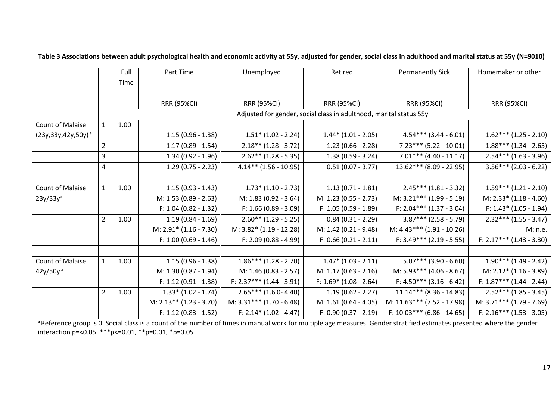|                            |                | Full | Part Time                 | Unemployed                 | Retired                                                            | <b>Permanently Sick</b>      | Homemaker or other         |
|----------------------------|----------------|------|---------------------------|----------------------------|--------------------------------------------------------------------|------------------------------|----------------------------|
|                            |                | Time |                           |                            |                                                                    |                              |                            |
|                            |                |      |                           |                            |                                                                    |                              |                            |
|                            |                |      | <b>RRR (95%CI)</b>        | <b>RRR (95%CI)</b>         | <b>RRR (95%CI)</b>                                                 | <b>RRR (95%CI)</b>           | RRR (95%CI)                |
|                            |                |      |                           |                            | Adjusted for gender, social class in adulthood, marital status 55y |                              |                            |
| <b>Count of Malaise</b>    | $\mathbf{1}$   | 1.00 |                           |                            |                                                                    |                              |                            |
| $(23y, 33y, 42y, 50y)^{a}$ |                |      | $1.15(0.96 - 1.38)$       | $1.51* (1.02 - 2.24)$      | $1.44*(1.01 - 2.05)$                                               | $4.54***$ (3.44 - 6.01)      | $1.62***(1.25-2.10)$       |
|                            | $\overline{2}$ |      | $1.17(0.89 - 1.54)$       | $2.18**$ (1.28 - 3.72)     | $1.23(0.66 - 2.28)$                                                | $7.23***$ (5.22 - 10.01)     | $1.88***$ (1.34 - 2.65)    |
|                            | 3              |      | $1.34(0.92 - 1.96)$       | $2.62**$ (1.28 - 5.35)     | $1.38(0.59 - 3.24)$                                                | $7.01***$ (4.40 - 11.17)     | $2.54***$ (1.63 - 3.96)    |
|                            | 4              |      | $1.29(0.75 - 2.23)$       | $4.14**$ (1.56 - 10.95)    | $0.51(0.07 - 3.77)$                                                | $13.62***$ (8.09 - 22.95)    | $3.56***$ (2.03 - 6.22)    |
|                            |                |      |                           |                            |                                                                    |                              |                            |
| <b>Count of Malaise</b>    | $\mathbf{1}$   | 1.00 | $1.15(0.93 - 1.43)$       | $1.73*(1.10 - 2.73)$       | $1.13(0.71 - 1.81)$                                                | $2.45***$ (1.81 - 3.32)      | $1.59***$ $(1.21 - 2.10)$  |
| $23y/33y^a$                |                |      | M: 1.53 (0.89 - 2.63)     | M: 1.83 (0.92 - 3.64)      | M: 1.23 (0.55 - 2.73)                                              | $M: 3.21***$ (1.99 - 5.19)   | M: 2.33* (1.18 - 4.60)     |
|                            |                |      | F: 1.04 (0.82 - 1.32)     | $F: 1.66 (0.89 - 3.09)$    | F: 1.05 (0.59 - 1.89)                                              | F: $2.04***$ (1.37 - 3.04)   | $F: 1.43 * (1.05 - 1.94)$  |
|                            | $\overline{2}$ | 1.00 | $1.19(0.84 - 1.69)$       | $2.60**$ (1.29 - 5.25)     | $0.84(0.31 - 2.29)$                                                | $3.87***$ (2.58 - 5.79)      | $2.32***$ (1.55 - 3.47)    |
|                            |                |      | M: 2.91* (1.16 - 7.30)    | M: 3.82* (1.19 - 12.28)    | M: 1.42 (0.21 - 9.48)                                              | $M: 4.43*** (1.91 - 10.26)$  | M: n.e.                    |
|                            |                |      | $F: 1.00 (0.69 - 1.46)$   | $F: 2.09 (0.88 - 4.99)$    | $F: 0.66 (0.21 - 2.11)$                                            | $F: 3.49*** (2.19 - 5.55)$   | $F: 2.17*** (1.43 - 3.30)$ |
|                            |                |      |                           |                            |                                                                    |                              |                            |
| <b>Count of Malaise</b>    | $\mathbf{1}$   | 1.00 | $1.15(0.96 - 1.38)$       | $1.86***$ $(1.28 - 2.70)$  | $1.47*$ $(1.03 - 2.11)$                                            | $5.07***$ (3.90 - 6.60)      | $1.90***$ (1.49 - 2.42)    |
| $42y/50y^3$                |                |      | M: 1.30 (0.87 - 1.94)     | M: 1.46 (0.83 - 2.57)      | $M: 1.17 (0.63 - 2.16)$                                            | M: $5.93***$ (4.06 - 8.67)   | $M: 2.12* (1.16-3.89)$     |
|                            |                |      | F: 1.12 (0.91 - 1.38)     | $F: 2.37*** (1.44 - 3.91)$ | $F: 1.69* (1.08 - 2.64)$                                           | $F: 4.50*** (3.16-6.42)$     | $F: 1.87*** (1.44 - 2.44)$ |
|                            | $\overline{2}$ | 1.00 | $1.33*(1.02 - 1.74)$      | $2.65***(1.60-4.40)$       | $1.19(0.62 - 2.27)$                                                | $11.14***$ (8.36 - 14.83)    | $2.52***(1.85-3.45)$       |
|                            |                |      | $M: 2.13** (1.23 - 3.70)$ | $M: 3.31*** (1.70 - 6.48)$ | M: 1.61 (0.64 - 4.05)                                              | $M: 11.63*** (7.52 - 17.98)$ | $M: 3.71*** (1.79 - 7.69)$ |
|                            |                |      | $F: 1.12 (0.83 - 1.52)$   | F: $2.14*(1.02 - 4.47)$    | F: 0.90 (0.37 - 2.19)                                              | $F: 10.03***$ (6.86 - 14.65) | $F: 2.16*** (1.53 - 3.05)$ |

**Table 3 Associations between adult psychological health and economic activity at 55y, adjusted for gender, social class in adulthood and marital status at 55y (N=9010)**

<span id="page-17-0"></span><sup>a</sup> Reference group is 0. Social class is a count of the number of times in manual work for multiple age measures. Gender stratified estimates presented where the gender interaction p=<0.05. \*\*\*p<=0.01, \*\*p=0.01, \*p=0.05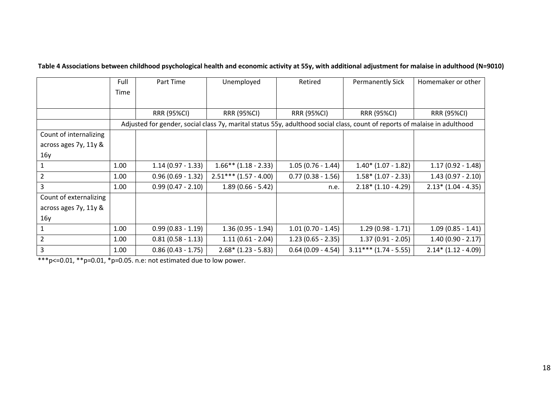| Table 4 Associations between childhood psychological health and economic activity at 55y, with additional adjustment for malaise in adulthood (N=9010) |  |  |
|--------------------------------------------------------------------------------------------------------------------------------------------------------|--|--|
|--------------------------------------------------------------------------------------------------------------------------------------------------------|--|--|

|                        | Full | Part Time                                                                                                                  | Unemployed              | Retired             | <b>Permanently Sick</b> | Homemaker or other   |
|------------------------|------|----------------------------------------------------------------------------------------------------------------------------|-------------------------|---------------------|-------------------------|----------------------|
|                        | Time |                                                                                                                            |                         |                     |                         |                      |
|                        |      |                                                                                                                            |                         |                     |                         |                      |
|                        |      | <b>RRR (95%CI)</b>                                                                                                         | <b>RRR (95%CI)</b>      | <b>RRR (95%CI)</b>  | <b>RRR (95%CI)</b>      | <b>RRR (95%CI)</b>   |
|                        |      | Adjusted for gender, social class 7y, marital status 55y, adulthood social class, count of reports of malaise in adulthood |                         |                     |                         |                      |
| Count of internalizing |      |                                                                                                                            |                         |                     |                         |                      |
| across ages 7y, 11y &  |      |                                                                                                                            |                         |                     |                         |                      |
| 16y                    |      |                                                                                                                            |                         |                     |                         |                      |
|                        | 1.00 | $1.14(0.97 - 1.33)$                                                                                                        | $1.66**$ (1.18 - 2.33)  | $1.05(0.76 - 1.44)$ | $1.40*$ (1.07 - 1.82)   | $1.17(0.92 - 1.48)$  |
| 2                      | 1.00 | $0.96(0.69 - 1.32)$                                                                                                        | $2.51***$ (1.57 - 4.00) | $0.77(0.38 - 1.56)$ | $1.58*(1.07 - 2.33)$    | $1.43(0.97 - 2.10)$  |
| 3                      | 1.00 | $0.99(0.47 - 2.10)$                                                                                                        | $1.89(0.66 - 5.42)$     | n.e.                | $2.18*(1.10 - 4.29)$    | $2.13*(1.04 - 4.35)$ |
| Count of externalizing |      |                                                                                                                            |                         |                     |                         |                      |
| across ages 7y, 11y &  |      |                                                                                                                            |                         |                     |                         |                      |
| 16y                    |      |                                                                                                                            |                         |                     |                         |                      |
|                        | 1.00 | $0.99(0.83 - 1.19)$                                                                                                        | $1.36(0.95 - 1.94)$     | $1.01(0.70 - 1.45)$ | $1.29(0.98 - 1.71)$     | $1.09(0.85 - 1.41)$  |
| 2                      | 1.00 | $0.81(0.58 - 1.13)$                                                                                                        | $1.11(0.61 - 2.04)$     | $1.23(0.65 - 2.35)$ | $1.37(0.91 - 2.05)$     | $1.40(0.90 - 2.17)$  |
| $\overline{3}$         | 1.00 | $0.86(0.43 - 1.75)$                                                                                                        | $2.68* (1.23 - 5.83)$   | $0.64(0.09 - 4.54)$ | $3.11***$ (1.74 - 5.55) | $2.14*(1.12 - 4.09)$ |

\*\*\*p<=0.01, \*\*p=0.01, \*p=0.05. n.e: not estimated due to low power.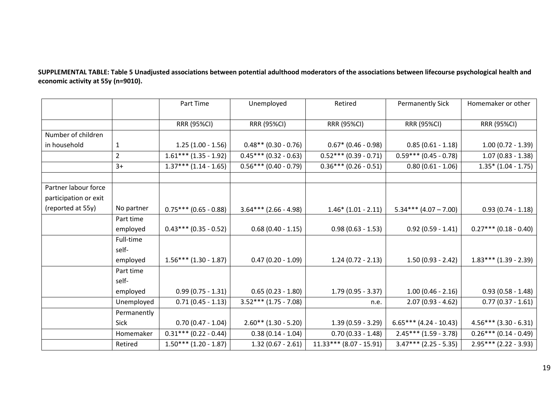**SUPPLEMENTAL TABLE: Table 5 Unadjusted associations between potential adulthood moderators of the associations between lifecourse psychological health and economic activity at 55y (n=9010).** 

|                       |                | Part Time               | Unemployed              | Retired                   | <b>Permanently Sick</b>  | Homemaker or other      |
|-----------------------|----------------|-------------------------|-------------------------|---------------------------|--------------------------|-------------------------|
|                       |                |                         |                         |                           |                          |                         |
|                       |                | <b>RRR (95%CI)</b>      | <b>RRR (95%CI)</b>      | <b>RRR (95%CI)</b>        | <b>RRR (95%CI)</b>       | <b>RRR (95%CI)</b>      |
| Number of children    |                |                         |                         |                           |                          |                         |
| in household          | 1              | $1.25(1.00 - 1.56)$     | $0.48**$ (0.30 - 0.76)  | $0.67*$ (0.46 - 0.98)     | $0.85(0.61 - 1.18)$      | $1.00(0.72 - 1.39)$     |
|                       | $\overline{2}$ | $1.61***$ (1.35 - 1.92) | $0.45***(0.32-0.63)$    | $0.52***(0.39-0.71)$      | $0.59***(0.45-0.78)$     | $1.07(0.83 - 1.38)$     |
|                       | $3+$           | $1.37***$ (1.14 - 1.65) | $0.56***(0.40-0.79)$    | $0.36***(0.26-0.51)$      | $0.80(0.61 - 1.06)$      | $1.35* (1.04 - 1.75)$   |
|                       |                |                         |                         |                           |                          |                         |
| Partner labour force  |                |                         |                         |                           |                          |                         |
| participation or exit |                |                         |                         |                           |                          |                         |
| (reported at 55y)     | No partner     | $0.75***(0.65 - 0.88)$  | $3.64***$ (2.66 - 4.98) | $1.46*(1.01 - 2.11)$      | $5.34***$ (4.07 – 7.00)  | $0.93(0.74 - 1.18)$     |
|                       | Part time      |                         |                         |                           |                          |                         |
|                       | employed       | $0.43***(0.35-0.52)$    | $0.68(0.40 - 1.15)$     | $0.98(0.63 - 1.53)$       | $0.92$ (0.59 - 1.41)     | $0.27***(0.18-0.40)$    |
|                       | Full-time      |                         |                         |                           |                          |                         |
|                       | self-          |                         |                         |                           |                          |                         |
|                       | employed       | $1.56***(1.30-1.87)$    | $0.47(0.20 - 1.09)$     | $1.24(0.72 - 2.13)$       | $1.50(0.93 - 2.42)$      | $1.83***(1.39 - 2.39)$  |
|                       | Part time      |                         |                         |                           |                          |                         |
|                       | self-          |                         |                         |                           |                          |                         |
|                       | employed       | $0.99(0.75 - 1.31)$     | $0.65(0.23 - 1.80)$     | $1.79(0.95 - 3.37)$       | $1.00(0.46 - 2.16)$      | $0.93(0.58 - 1.48)$     |
|                       | Unemployed     | $0.71(0.45 - 1.13)$     | $3.52***(1.75-7.08)$    | n.e.                      | $2.07(0.93 - 4.62)$      | $0.77(0.37 - 1.61)$     |
|                       | Permanently    |                         |                         |                           |                          |                         |
|                       | Sick           | $0.70(0.47 - 1.04)$     | $2.60**$ (1.30 - 5.20)  | $1.39(0.59 - 3.29)$       | $6.65***$ (4.24 - 10.43) | $4.56***$ (3.30 - 6.31) |
|                       | Homemaker      | $0.31***$ (0.22 - 0.44) | $0.38(0.14 - 1.04)$     | $0.70(0.33 - 1.48)$       | $2.45***$ (1.59 - 3.78)  | $0.26***(0.14-0.49)$    |
|                       | Retired        | $1.50***$ (1.20 - 1.87) | $1.32(0.67 - 2.61)$     | $11.33***$ (8.07 - 15.91) | $3.47***$ (2.25 - 5.35)  | $2.95***$ (2.22 - 3.93) |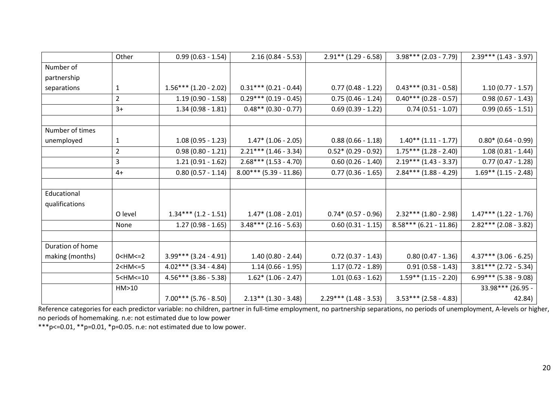|                  | Other           | $0.99(0.63 - 1.54)$      | $2.16(0.84 - 5.53)$      | $2.91**$ (1.29 - 6.58)  | $3.98***$ (2.03 - 7.79)   | $2.39***$ (1.43 - 3.97)   |
|------------------|-----------------|--------------------------|--------------------------|-------------------------|---------------------------|---------------------------|
| Number of        |                 |                          |                          |                         |                           |                           |
| partnership      |                 |                          |                          |                         |                           |                           |
| separations      | 1               | $1.56***$ (1.20 - 2.02)  | $0.31***$ (0.21 - 0.44)  | $0.77(0.48 - 1.22)$     | $0.43***$ (0.31 - 0.58)   | $1.10(0.77 - 1.57)$       |
|                  | $\overline{2}$  | $1.19(0.90 - 1.58)$      | $0.29***(0.19-0.45)$     | $0.75(0.46 - 1.24)$     | $0.40***$ (0.28 - 0.57)   | $0.98(0.67 - 1.43)$       |
|                  | $3+$            | $1.34(0.98 - 1.81)$      | $0.48**$ (0.30 - 0.77)   | $0.69(0.39 - 1.22)$     | $0.74$ (0.51 - 1.07)      | $0.99(0.65 - 1.51)$       |
|                  |                 |                          |                          |                         |                           |                           |
| Number of times  |                 |                          |                          |                         |                           |                           |
| unemployed       | 1               | $1.08(0.95 - 1.23)$      | $1.47*$ (1.06 - 2.05)    | $0.88(0.66 - 1.18)$     | $1.40**$ (1.11 - 1.77)    | $0.80* (0.64 - 0.99)$     |
|                  | 2               | $0.98(0.80 - 1.21)$      | $2.21***$ (1.46 - 3.34)  | $0.52*(0.29 - 0.92)$    | $1.75***$ $(1.28 - 2.40)$ | $1.08(0.81 - 1.44)$       |
|                  | 3               | $1.21(0.91 - 1.62)$      | $2.68***$ (1.53 - 4.70)  | $0.60(0.26 - 1.40)$     | $2.19***$ (1.43 - 3.37)   | $0.77(0.47 - 1.28)$       |
|                  | $4+$            | $0.80(0.57 - 1.14)$      | $8.00***$ (5.39 - 11.86) | $0.77(0.36 - 1.65)$     | $2.84***$ (1.88 - 4.29)   | $1.69**$ (1.15 - 2.48)    |
|                  |                 |                          |                          |                         |                           |                           |
| Educational      |                 |                          |                          |                         |                           |                           |
| qualifications   |                 |                          |                          |                         |                           |                           |
|                  | O level         | $1.34***$ $(1.2 - 1.51)$ | $1.47* (1.08 - 2.01)$    | $0.74*(0.57 - 0.96)$    | $2.32***$ (1.80 - 2.98)   | $1.47***$ $(1.22 - 1.76)$ |
|                  | None            | $1.27(0.98 - 1.65)$      | $3.48***$ (2.16 - 5.63)  | $0.60$ (0.31 - 1.15)    | $8.58***$ (6.21 - 11.86)  | $2.82***$ (2.08 - 3.82)   |
|                  |                 |                          |                          |                         |                           |                           |
| Duration of home |                 |                          |                          |                         |                           |                           |
| making (months)  | $0 < H M < = 2$ | $3.99***$ (3.24 - 4.91)  | $1.40(0.80 - 2.44)$      | $0.72$ (0.37 - 1.43)    | $0.80$ (0.47 - 1.36)      | $4.37***$ (3.06 - 6.25)   |
|                  | $2$ < HM <= $5$ | $4.02***$ (3.34 - 4.84)  | $1.14(0.66 - 1.95)$      | $1.17(0.72 - 1.89)$     | $0.91(0.58 - 1.43)$       | $3.81***$ (2.72 - 5.34)   |
|                  | $5$ < HM <= 10  | $4.56***$ (3.86 - 5.38)  | $1.62*$ (1.06 - 2.47)    | $1.01(0.63 - 1.62)$     | $1.59**$ (1.15 - 2.20)    | $6.99***$ (5.38 - 9.08)   |
|                  | HM>10           |                          |                          |                         |                           | 33.98*** (26.95 -         |
|                  |                 | $7.00***$ (5.76 - 8.50)  | $2.13**$ (1.30 - 3.48)   | $2.29***$ (1.48 - 3.53) | $3.53***$ (2.58 - 4.83)   | 42.84)                    |

<span id="page-20-0"></span>Reference categories for each predictor variable: no children, partner in full-time employment, no partnership separations, no periods of unemployment, A-levels or higher, no periods of homemaking. n.e: not estimated due to low power

\*\*\* p < = 0.01, \*\* p = 0.01, \* p = 0.05. n.e: not estimated due to low power.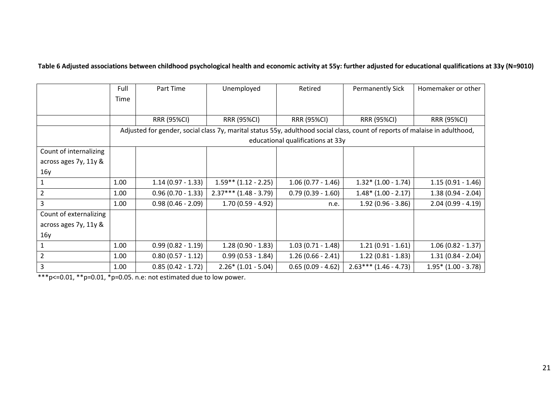**Table 6 Adjusted associations between childhood psychological health and economic activity at 55y: further adjusted for educational qualifications at 33y (N=9010)**

|                        | Full | Part Time                                                                                                                   | Unemployed              | Retired                           | <b>Permanently Sick</b> | Homemaker or other    |
|------------------------|------|-----------------------------------------------------------------------------------------------------------------------------|-------------------------|-----------------------------------|-------------------------|-----------------------|
|                        | Time |                                                                                                                             |                         |                                   |                         |                       |
|                        |      |                                                                                                                             |                         |                                   |                         |                       |
|                        |      | <b>RRR (95%CI)</b>                                                                                                          | <b>RRR (95%CI)</b>      | <b>RRR (95%CI)</b>                | <b>RRR (95%CI)</b>      | <b>RRR (95%CI)</b>    |
|                        |      | Adjusted for gender, social class 7y, marital status 55y, adulthood social class, count of reports of malaise in adulthood, |                         |                                   |                         |                       |
|                        |      |                                                                                                                             |                         | educational qualifications at 33y |                         |                       |
| Count of internalizing |      |                                                                                                                             |                         |                                   |                         |                       |
| across ages 7y, 11y &  |      |                                                                                                                             |                         |                                   |                         |                       |
| 16y                    |      |                                                                                                                             |                         |                                   |                         |                       |
|                        | 1.00 | $1.14(0.97 - 1.33)$                                                                                                         | $1.59**$ (1.12 - 2.25)  | $1.06(0.77 - 1.46)$               | $1.32*(1.00 - 1.74)$    | $1.15(0.91 - 1.46)$   |
| $\overline{2}$         | 1.00 | $0.96(0.70 - 1.33)$                                                                                                         | $2.37***$ (1.48 - 3.79) | $0.79(0.39 - 1.60)$               | $1.48*(1.00 - 2.17)$    | $1.38(0.94 - 2.04)$   |
| 3                      | 1.00 | $0.98(0.46 - 2.09)$                                                                                                         | $1.70(0.59 - 4.92)$     | n.e.                              | $1.92(0.96 - 3.86)$     | $2.04(0.99 - 4.19)$   |
| Count of externalizing |      |                                                                                                                             |                         |                                   |                         |                       |
| across ages 7y, 11y &  |      |                                                                                                                             |                         |                                   |                         |                       |
| 16y                    |      |                                                                                                                             |                         |                                   |                         |                       |
| $\mathbf{1}$           | 1.00 | $0.99(0.82 - 1.19)$                                                                                                         | $1.28(0.90 - 1.83)$     | $1.03(0.71 - 1.48)$               | $1.21(0.91 - 1.61)$     | $1.06(0.82 - 1.37)$   |
| $\overline{2}$         | 1.00 | $0.80(0.57 - 1.12)$                                                                                                         | $0.99(0.53 - 1.84)$     | $1.26(0.66 - 2.41)$               | $1.22(0.81 - 1.83)$     | $1.31(0.84 - 2.04)$   |
| 3                      | 1.00 | $0.85(0.42 - 1.72)$                                                                                                         | $2.26*(1.01 - 5.04)$    | $0.65(0.09 - 4.62)$               | $2.63***(1.46-4.73)$    | $1.95*$ (1.00 - 3.78) |

 $***p<-0.01, **p=0.01, *p=0.05.$  n.e: not estimated due to low power.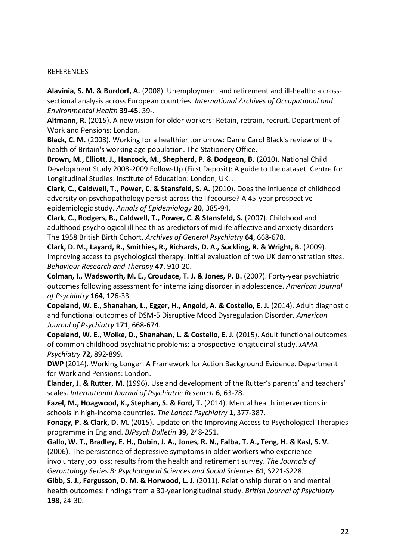#### **REFERENCES**

**Alavinia, S. M. & Burdorf, A.** (2008). Unemployment and retirement and ill-health: a crosssectional analysis across European countries. *International Archives of Occupational and Environmental Health* **39-45**, 39-.

**Altmann, R.** (2015). A new vision for older workers: Retain, retrain, recruit. Department of Work and Pensions: London.

**Black, C. M.** (2008). Working for a healthier tomorrow: Dame Carol Black's review of the health of Britain's working age population. The Stationery Office.

Brown, M., Elliott, J., Hancock, M., Shepherd, P. & Dodgeon, B. (2010). National Child Development Study 2008-2009 Follow-Up (First Deposit): A guide to the dataset. Centre for Longitudinal Studies: Institute of Education: London, UK. .

**Clark, C., Caldwell, T., Power, C. & Stansfeld, S. A.** (2010). Does the influence of childhood adversity on psychopathology persist across the lifecourse? A 45-year prospective epidemiologic study. *Annals of Epidemiology* **20**, 385-94.

**Clark, C., Rodgers, B., Caldwell, T., Power, C. & Stansfeld, S.** (2007). Childhood and adulthood psychological ill health as predictors of midlife affective and anxiety disorders - The 1958 British Birth Cohort. *Archives of General Psychiatry* **64**, 668-678.

**Clark, D. M., Layard, R., Smithies, R., Richards, D. A., Suckling, R. & Wright, B.** (2009). Improving access to psychological therapy: initial evaluation of two UK demonstration sites. *Behaviour Research and Therapy* **47**, 910-20.

**Colman, I., Wadsworth, M. E., Croudace, T. J. & Jones, P. B.** (2007). Forty-year psychiatric outcomes following assessment for internalizing disorder in adolescence. *American Journal of Psychiatry* **164**, 126-33.

**Copeland, W. E., Shanahan, L., Egger, H., Angold, A. & Costello, E. J.** (2014). Adult diagnostic and functional outcomes of DSM-5 Disruptive Mood Dysregulation Disorder. *American Journal of Psychiatry* **171**, 668-674.

**Copeland, W. E., Wolke, D., Shanahan, L. & Costello, E. J.** (2015). Adult functional outcomes of common childhood psychiatric problems: a prospective longitudinal study. *JAMA Psychiatry* **72**, 892-899.

**DWP** (2014). Working Longer: A Framework for Action Background Evidence. Department for Work and Pensions: London.

**Elander, J. & Rutter, M.** (1996). Use and development of the Rutter's parents' and teachers' scales. *International Journal of Psychiatric Research* **6**, 63-78.

**Fazel, M., Hoagwood, K., Stephan, S. & Ford, T.** (2014). Mental health interventions in schools in high-income countries. *The Lancet Psychiatry* **1**, 377-387.

**Fonagy, P. & Clark, D. M.** (2015). Update on the Improving Access to Psychological Therapies programme in England. *BJPsych Bulletin* **39**, 248-251.

**Gallo, W. T., Bradley, E. H., Dubin, J. A., Jones, R. N., Falba, T. A., Teng, H. & Kasl, S. V.**  (2006). The persistence of depressive symptoms in older workers who experience involuntary job loss: results from the health and retirement survey. *The Journals of Gerontology Series B: Psychological Sciences and Social Sciences* **61**, S221-S228.

**Gibb, S. J., Fergusson, D. M. & Horwood, L. J.** (2011). Relationship duration and mental health outcomes: findings from a 30-year longitudinal study. *British Journal of Psychiatry* **198**, 24-30.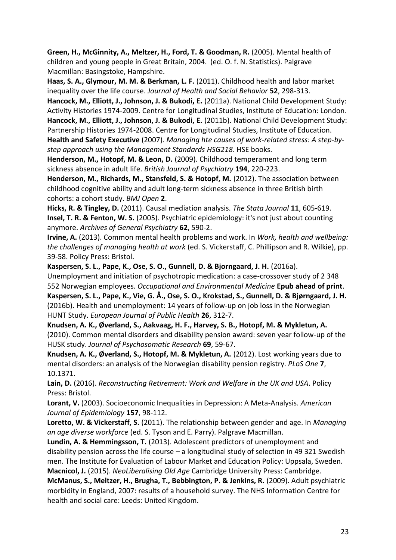**Green, H., McGinnity, A., Meltzer, H., Ford, T. & Goodman, R.** (2005). Mental health of children and young people in Great Britain, 2004. (ed. O. f. N. Statistics). Palgrave Macmillan: Basingstoke, Hampshire.

**Haas, S. A., Glymour, M. M. & Berkman, L. F.** (2011). Childhood health and labor market inequality over the life course. *Journal of Health and Social Behavior* **52**, 298-313.

**Hancock, M., Elliott, J., Johnson, J. & Bukodi, E.** (2011a). National Child Development Study: Activity Histories 1974-2009. Centre for Longitudinal Studies, Institute of Education: London. **Hancock, M., Elliott, J., Johnson, J. & Bukodi, E.** (2011b). National Child Development Study: Partnership Histories 1974-2008. Centre for Longitudinal Studies, Institute of Education. **Health and Safety Executive** (2007). *Managing hte causes of work-related stress: A step-bystep approach using the Management Standards HSG218*. HSE books.

**Henderson, M., Hotopf, M. & Leon, D.** (2009). Childhood temperament and long term sickness absence in adult life. *British Journal of Psychiatry* **194**, 220-223.

Henderson, M., Richards, M., Stansfeld, S. & Hotopf, M. (2012). The association between childhood cognitive ability and adult long-term sickness absence in three British birth cohorts: a cohort study. *BMJ Open* **2**.

**Hicks, R. & Tingley, D.** (2011). Causal mediation analysis. *The Stata Journal* **11**, 605-619. **Insel, T. R. & Fenton, W. S.** (2005). Psychiatric epidemiology: it's not just about counting anymore. *Archives of General Psychiatry* **62**, 590-2.

**Irvine, A.** (2013). Common mental health problems and work. In *Work, health and wellbeing: the challenges of managing health at work* (ed. S. Vickerstaff, C. Phillipson and R. Wilkie), pp. 39-58. Policy Press: Bristol.

**Kaspersen, S. L., Pape, K., Ose, S. O., Gunnell, D. & Bjorngaard, J. H.** (2016a). Unemployment and initiation of psychotropic medication: a case-crossover study of 2 348 552 Norwegian employees. *Occupational and Environmental Medicine* **Epub ahead of print**. Kaspersen, S. L., Pape, K., Vie, G. Å., Ose, S. O., Krokstad, S., Gunnell, D. & Bjørngaard, J. H. (2016b). Health and unemployment: 14 years of follow-up on job loss in the Norwegian HUNT Study. *European Journal of Public Health* **26**, 312-7.

**Knudsen, A. K., ÿverland, S., Aakvaag, H. F., Harvey, S. B., Hotopf, M. & Mykletun, A.**  (2010). Common mental disorders and disability pension award: seven year follow-up of the HUSK study. *Journal of Psychosomatic Research* **69**, 59-67.

**Knudsen, A. K., ÿverland, S., Hotopf, M. & Mykletun, A.** (2012). Lost working years due to mental disorders: an analysis of the Norwegian disability pension registry. *PLoS One* **7**, 10.1371.

**Lain, D.** (2016). *Reconstructing Retirement: Work and Welfare in the UK and USA*. Policy Press: Bristol.

**Lorant, V.** (2003). Socioeconomic Inequalities in Depression: A Meta-Analysis. *American Journal of Epidemiology* **157**, 98-112.

**Loretto, W. & Vickerstaff, S.** (2011). The relationship between gender and age. In *Managing an age diverse workforce* (ed. S. Tyson and E. Parry). Palgrave Macmillan.

**Lundin, A. & Hemmingsson, T.** (2013). Adolescent predictors of unemployment and disability pension across the life course  $-$  a longitudinal study of selection in 49 321 Swedish men. The Institute for Evaluation of Labour Market and Education Policy: Uppsala, Sweden.

**Macnicol, J.** (2015). *NeoLiberalising Old Age* Cambridge University Press: Cambridge. **McManus, S., Meltzer, H., Brugha, T., Bebbington, P. & Jenkins, R.** (2009). Adult psychiatric

morbidity in England, 2007: results of a household survey. The NHS Information Centre for health and social care: Leeds: United Kingdom.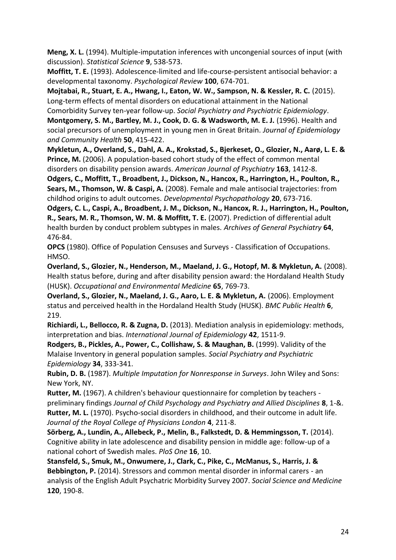**Meng, X. L.** (1994). Multiple-imputation inferences with uncongenial sources of input (with discussion). *Statistical Science* **9**, 538-573.

**Moffitt, T. E.** (1993). Adolescence-limited and life-course-persistent antisocial behavior: a developmental taxonomy. *Psychological Review* **100**, 674-701.

**Mojtabai, R., Stuart, E. A., Hwang, I., Eaton, W. W., Sampson, N. & Kessler, R. C.** (2015). Long-term effects of mental disorders on educational attainment in the National Comorbidity Survey ten-year follow-up. *Social Psychiatry and Psychiatric Epidemiology*.

**Montgomery, S. M., Bartley, M. J., Cook, D. G. & Wadsworth, M. E. J.** (1996). Health and social precursors of unemployment in young men in Great Britain. *Journal of Epidemiology and Community Health* **50**, 415-422.

Mykletun, A., Overland, S., Dahl, A. A., Krokstad, S., Bjerkeset, O., Glozier, N., Aarø, L. E. & **Prince, M.** (2006). A population-based cohort study of the effect of common mental disorders on disability pension awards. *American Journal of Psychiatry* **163**, 1412-8.

**Odgers, C., Moffitt, T., Broadbent, J., Dickson, N., Hancox, R., Harrington, H., Poulton, R., Sears, M., Thomson, W. & Caspi, A.** (2008). Female and male antisocial trajectories: from childhod origins to adult outcomes. *Developmental Psychopathology* **20**, 673-716.

**Odgers, C. L., Caspi, A., Broadbent, J. M., Dickson, N., Hancox, R. J., Harrington, H., Poulton, R., Sears, M. R., Thomson, W. M. & Moffitt, T. E.** (2007). Prediction of differential adult health burden by conduct problem subtypes in males. *Archives of General Psychiatry* **64**, 476-84.

**OPCS** (1980). Office of Population Censuses and Surveys - Classification of Occupations. HMSO.

**Overland, S., Glozier, N., Henderson, M., Maeland, J. G., Hotopf, M. & Mykletun, A.** (2008). Health status before, during and after disability pension award: the Hordaland Health Study (HUSK). *Occupational and Environmental Medicine* **65**, 769-73.

**Overland, S., Glozier, N., Maeland, J. G., Aaro, L. E. & Mykletun, A.** (2006). Employment status and perceived health in the Hordaland Health Study (HUSK). *BMC Public Health* **6**, 219.

**Richiardi, L., Bellocco, R. & Zugna, D.** (2013). Mediation analysis in epidemiology: methods, interpretation and bias. *International Journal of Epidemiology* **42**, 1511-9.

**Rodgers, B., Pickles, A., Power, C., Collishaw, S. & Maughan, B.** (1999). Validity of the Malaise Inventory in general population samples. *Social Psychiatry and Psychiatric Epidemiology* **34**, 333-341.

**Rubin, D. B.** (1987). *Multiple Imputation for Nonresponse in Surveys*. John Wiley and Sons: New York, NY.

**Rutter, M.** (1967). A children's behaviour questionnaire for completion by teachers preliminary findings *Journal of Child Psychology and Psychiatry and Allied Disciplines* **8**, 1-&. **Rutter, M. L.** (1970). Psycho-social disorders in childhood, and their outcome in adult life. *Journal of the Royal College of Physicians London* **4**, 211-8.

**Sˆrberg, A., Lundin, A., Allebeck, P., Melin, B., Falkstedt, D. & Hemmingsson, T.** (2014). Cognitive ability in late adolescence and disability pension in middle age: follow-up of a national cohort of Swedish males. *PloS One* **16**, 10.

**Stansfeld, S., Smuk, M., Onwumere, J., Clark, C., Pike, C., McManus, S., Harris, J. & Bebbington, P.** (2014). Stressors and common mental disorder in informal carers - an analysis of the English Adult Psychatric Morbidity Survey 2007. *Social Science and Medicine* **120**, 190-8.